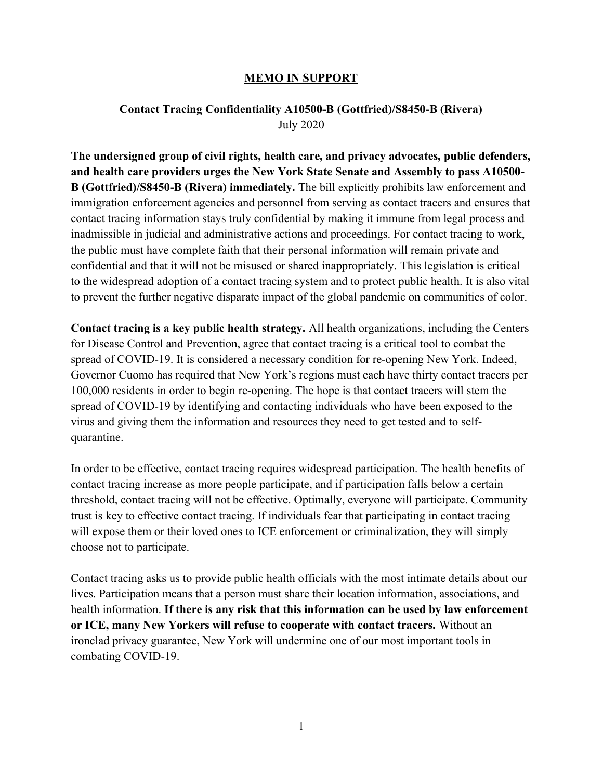## MEMO IN SUPPORT

## Contact Tracing Confidentiality A10500-B (Gottfried)/S8450-B (Rivera) July 2020

The undersigned group of civil rights, health care, and privacy advocates, public defenders, and health care providers urges the New York State Senate and Assembly to pass A10500- B (Gottfried)/S8450-B (Rivera) immediately. The bill explicitly prohibits law enforcement and immigration enforcement agencies and personnel from serving as contact tracers and ensures that contact tracing information stays truly confidential by making it immune from legal process and inadmissible in judicial and administrative actions and proceedings. For contact tracing to work, the public must have complete faith that their personal information will remain private and confidential and that it will not be misused or shared inappropriately. This legislation is critical to the widespread adoption of a contact tracing system and to protect public health. It is also vital to prevent the further negative disparate impact of the global pandemic on communities of color.

Contact tracing is a key public health strategy. All health organizations, including the Centers for Disease Control and Prevention, agree that contact tracing is a critical tool to combat the spread of COVID-19. It is considered a necessary condition for re-opening New York. Indeed, Governor Cuomo has required that New York's regions must each have thirty contact tracers per 100,000 residents in order to begin re-opening. The hope is that contact tracers will stem the spread of COVID-19 by identifying and contacting individuals who have been exposed to the virus and giving them the information and resources they need to get tested and to selfquarantine.

In order to be effective, contact tracing requires widespread participation. The health benefits of contact tracing increase as more people participate, and if participation falls below a certain threshold, contact tracing will not be effective. Optimally, everyone will participate. Community trust is key to effective contact tracing. If individuals fear that participating in contact tracing will expose them or their loved ones to ICE enforcement or criminalization, they will simply choose not to participate.

Contact tracing asks us to provide public health officials with the most intimate details about our lives. Participation means that a person must share their location information, associations, and health information. If there is any risk that this information can be used by law enforcement or ICE, many New Yorkers will refuse to cooperate with contact tracers. Without an ironclad privacy guarantee, New York will undermine one of our most important tools in combating COVID-19.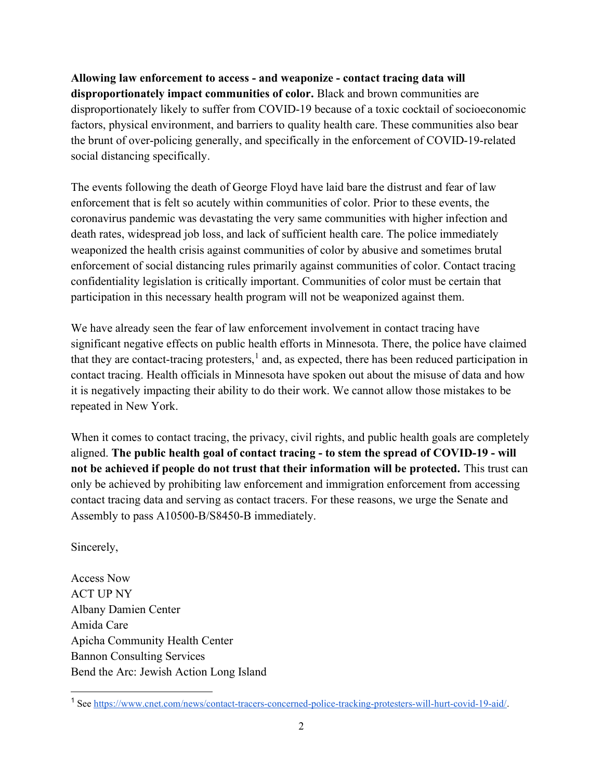Allowing law enforcement to access - and weaponize - contact tracing data will disproportionately impact communities of color. Black and brown communities are disproportionately likely to suffer from COVID-19 because of a toxic cocktail of socioeconomic factors, physical environment, and barriers to quality health care. These communities also bear the brunt of over-policing generally, and specifically in the enforcement of COVID-19-related social distancing specifically.

The events following the death of George Floyd have laid bare the distrust and fear of law enforcement that is felt so acutely within communities of color. Prior to these events, the coronavirus pandemic was devastating the very same communities with higher infection and death rates, widespread job loss, and lack of sufficient health care. The police immediately weaponized the health crisis against communities of color by abusive and sometimes brutal enforcement of social distancing rules primarily against communities of color. Contact tracing confidentiality legislation is critically important. Communities of color must be certain that participation in this necessary health program will not be weaponized against them.

We have already seen the fear of law enforcement involvement in contact tracing have significant negative effects on public health efforts in Minnesota. There, the police have claimed that they are contact-tracing protesters,<sup>1</sup> and, as expected, there has been reduced participation in contact tracing. Health officials in Minnesota have spoken out about the misuse of data and how it is negatively impacting their ability to do their work. We cannot allow those mistakes to be repeated in New York.

When it comes to contact tracing, the privacy, civil rights, and public health goals are completely aligned. The public health goal of contact tracing - to stem the spread of COVID-19 - will not be achieved if people do not trust that their information will be protected. This trust can only be achieved by prohibiting law enforcement and immigration enforcement from accessing contact tracing data and serving as contact tracers. For these reasons, we urge the Senate and Assembly to pass A10500-B/S8450-B immediately.

Sincerely,

Access Now ACT UP NY Albany Damien Center Amida Care Apicha Community Health Center Bannon Consulting Services Bend the Arc: Jewish Action Long Island

<sup>&</sup>lt;sup>1</sup> See https://www.cnet.com/news/contact-tracers-concerned-police-tracking-protesters-will-hurt-covid-19-aid/.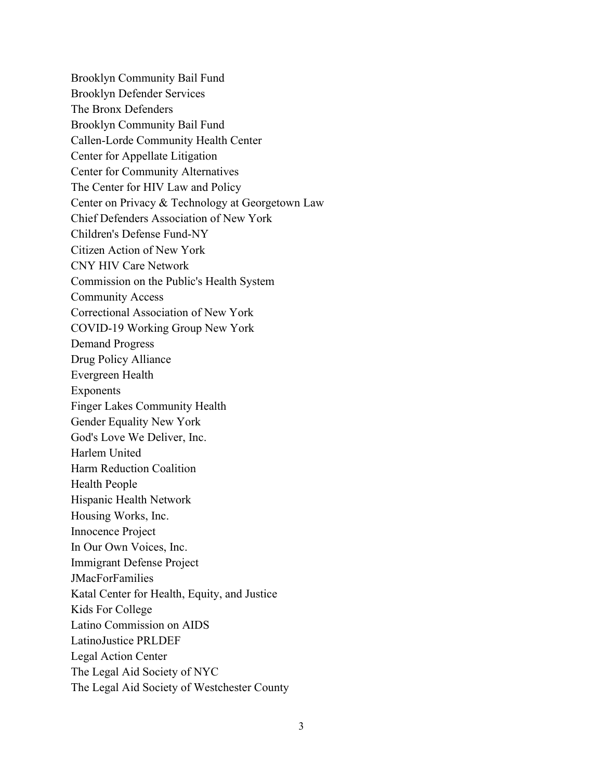Brooklyn Community Bail Fund Brooklyn Defender Services The Bronx Defenders Brooklyn Community Bail Fund Callen-Lorde Community Health Center Center for Appellate Litigation Center for Community Alternatives The Center for HIV Law and Policy Center on Privacy & Technology at Georgetown Law Chief Defenders Association of New York Children's Defense Fund-NY Citizen Action of New York CNY HIV Care Network Commission on the Public's Health System Community Access Correctional Association of New York COVID-19 Working Group New York Demand Progress Drug Policy Alliance Evergreen Health Exponents Finger Lakes Community Health Gender Equality New York God's Love We Deliver, Inc. Harlem United Harm Reduction Coalition Health People Hispanic Health Network Housing Works, Inc. Innocence Project In Our Own Voices, Inc. Immigrant Defense Project JMacForFamilies Katal Center for Health, Equity, and Justice Kids For College Latino Commission on AIDS LatinoJustice PRLDEF Legal Action Center The Legal Aid Society of NYC The Legal Aid Society of Westchester County